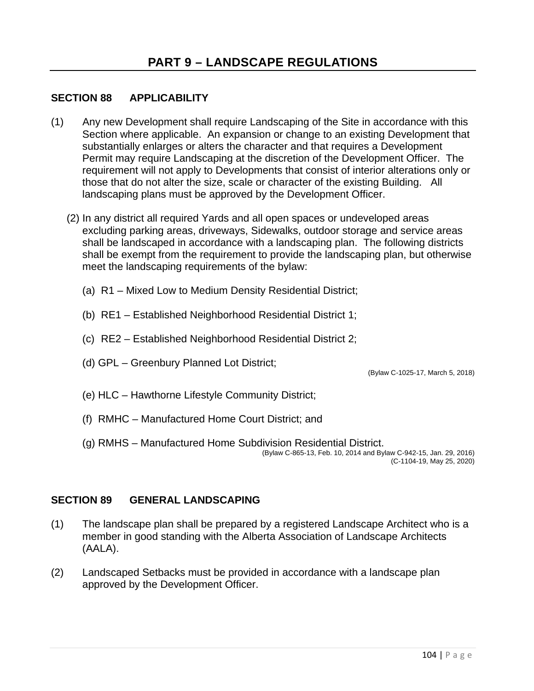## **SECTION 88 APPLICABILITY**

- (1) Any new Development shall require Landscaping of the Site in accordance with this Section where applicable. An expansion or change to an existing Development that substantially enlarges or alters the character and that requires a Development Permit may require Landscaping at the discretion of the Development Officer. The requirement will not apply to Developments that consist of interior alterations only or those that do not alter the size, scale or character of the existing Building. All landscaping plans must be approved by the Development Officer.
	- (2) In any district all required Yards and all open spaces or undeveloped areas excluding parking areas, driveways, Sidewalks, outdoor storage and service areas shall be landscaped in accordance with a landscaping plan. The following districts shall be exempt from the requirement to provide the landscaping plan, but otherwise meet the landscaping requirements of the bylaw:
		- (a) R1 Mixed Low to Medium Density Residential District;
		- (b) RE1 Established Neighborhood Residential District 1;
		- (c) RE2 Established Neighborhood Residential District 2;
		- (d) GPL Greenbury Planned Lot District;

(Bylaw C-1025-17, March 5, 2018)

- (e) HLC Hawthorne Lifestyle Community District;
- (f) RMHC Manufactured Home Court District; and
- (g) RMHS Manufactured Home Subdivision Residential District. (Bylaw C-865-13, Feb. 10, 2014 and Bylaw C-942-15, Jan. 29, 2016)

(C-1104-19, May 25, 2020)

#### **SECTION 89 GENERAL LANDSCAPING**

- (1) The landscape plan shall be prepared by a registered Landscape Architect who is a member in good standing with the Alberta Association of Landscape Architects (AALA).
- (2) Landscaped Setbacks must be provided in accordance with a landscape plan approved by the Development Officer.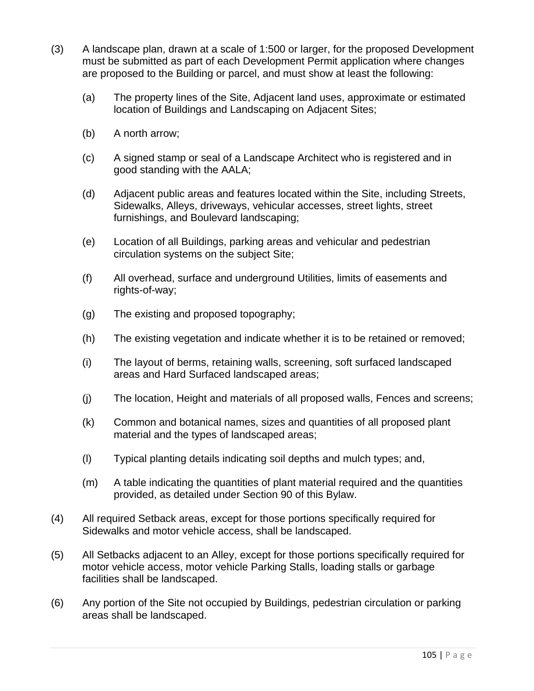- (3) A landscape plan, drawn at a scale of 1:500 or larger, for the proposed Development must be submitted as part of each Development Permit application where changes are proposed to the Building or parcel, and must show at least the following:
	- (a) The property lines of the Site, Adjacent land uses, approximate or estimated location of Buildings and Landscaping on Adjacent Sites;
	- (b) A north arrow;
	- (c) A signed stamp or seal of a Landscape Architect who is registered and in good standing with the AALA;
	- (d) Adjacent public areas and features located within the Site, including Streets, Sidewalks, Alleys, driveways, vehicular accesses, street lights, street furnishings, and Boulevard landscaping;
	- (e) Location of all Buildings, parking areas and vehicular and pedestrian circulation systems on the subject Site;
	- (f) All overhead, surface and underground Utilities, limits of easements and rights-of-way;
	- (g) The existing and proposed topography;
	- (h) The existing vegetation and indicate whether it is to be retained or removed;
	- (i) The layout of berms, retaining walls, screening, soft surfaced landscaped areas and Hard Surfaced landscaped areas;
	- (j) The location, Height and materials of all proposed walls, Fences and screens;
	- (k) Common and botanical names, sizes and quantities of all proposed plant material and the types of landscaped areas;
	- (l) Typical planting details indicating soil depths and mulch types; and,
	- (m) A table indicating the quantities of plant material required and the quantities provided, as detailed under Section 90 of this Bylaw.
- (4) All required Setback areas, except for those portions specifically required for Sidewalks and motor vehicle access, shall be landscaped.
- (5) All Setbacks adjacent to an Alley, except for those portions specifically required for motor vehicle access, motor vehicle Parking Stalls, loading stalls or garbage facilities shall be landscaped.
- (6) Any portion of the Site not occupied by Buildings, pedestrian circulation or parking areas shall be landscaped.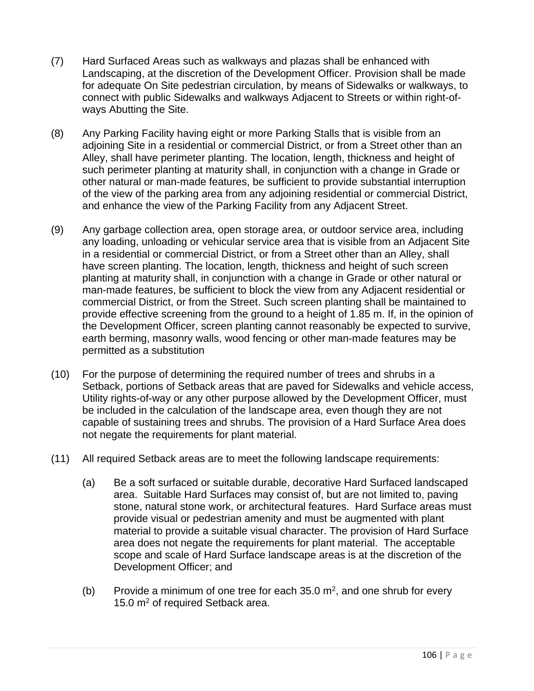- (7) Hard Surfaced Areas such as walkways and plazas shall be enhanced with Landscaping, at the discretion of the Development Officer. Provision shall be made for adequate On Site pedestrian circulation, by means of Sidewalks or walkways, to connect with public Sidewalks and walkways Adjacent to Streets or within right-ofways Abutting the Site.
- (8) Any Parking Facility having eight or more Parking Stalls that is visible from an adjoining Site in a residential or commercial District, or from a Street other than an Alley, shall have perimeter planting. The location, length, thickness and height of such perimeter planting at maturity shall, in conjunction with a change in Grade or other natural or man-made features, be sufficient to provide substantial interruption of the view of the parking area from any adjoining residential or commercial District, and enhance the view of the Parking Facility from any Adjacent Street.
- (9) Any garbage collection area, open storage area, or outdoor service area, including any loading, unloading or vehicular service area that is visible from an Adjacent Site in a residential or commercial District, or from a Street other than an Alley, shall have screen planting. The location, length, thickness and height of such screen planting at maturity shall, in conjunction with a change in Grade or other natural or man-made features, be sufficient to block the view from any Adjacent residential or commercial District, or from the Street. Such screen planting shall be maintained to provide effective screening from the ground to a height of 1.85 m. If, in the opinion of the Development Officer, screen planting cannot reasonably be expected to survive, earth berming, masonry walls, wood fencing or other man-made features may be permitted as a substitution
- (10) For the purpose of determining the required number of trees and shrubs in a Setback, portions of Setback areas that are paved for Sidewalks and vehicle access, Utility rights-of-way or any other purpose allowed by the Development Officer, must be included in the calculation of the landscape area, even though they are not capable of sustaining trees and shrubs. The provision of a Hard Surface Area does not negate the requirements for plant material.
- (11) All required Setback areas are to meet the following landscape requirements:
	- (a) Be a soft surfaced or suitable durable, decorative Hard Surfaced landscaped area. Suitable Hard Surfaces may consist of, but are not limited to, paving stone, natural stone work, or architectural features. Hard Surface areas must provide visual or pedestrian amenity and must be augmented with plant material to provide a suitable visual character. The provision of Hard Surface area does not negate the requirements for plant material. The acceptable scope and scale of Hard Surface landscape areas is at the discretion of the Development Officer; and
	- (b) Provide a minimum of one tree for each 35.0  $m^2$ , and one shrub for every 15.0 m<sup>2</sup> of required Setback area.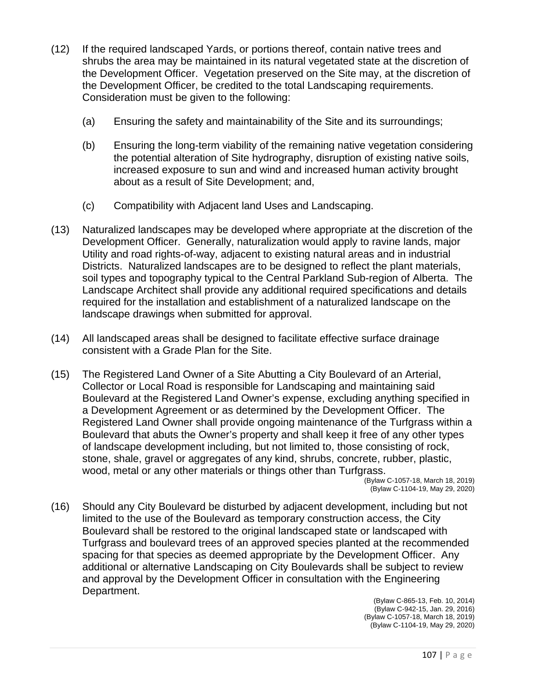- (12) If the required landscaped Yards, or portions thereof, contain native trees and shrubs the area may be maintained in its natural vegetated state at the discretion of the Development Officer. Vegetation preserved on the Site may, at the discretion of the Development Officer, be credited to the total Landscaping requirements. Consideration must be given to the following:
	- (a) Ensuring the safety and maintainability of the Site and its surroundings;
	- (b) Ensuring the long-term viability of the remaining native vegetation considering the potential alteration of Site hydrography, disruption of existing native soils, increased exposure to sun and wind and increased human activity brought about as a result of Site Development; and,
	- (c) Compatibility with Adjacent land Uses and Landscaping.
- (13) Naturalized landscapes may be developed where appropriate at the discretion of the Development Officer. Generally, naturalization would apply to ravine lands, major Utility and road rights-of-way, adjacent to existing natural areas and in industrial Districts. Naturalized landscapes are to be designed to reflect the plant materials, soil types and topography typical to the Central Parkland Sub-region of Alberta. The Landscape Architect shall provide any additional required specifications and details required for the installation and establishment of a naturalized landscape on the landscape drawings when submitted for approval.
- (14) All landscaped areas shall be designed to facilitate effective surface drainage consistent with a Grade Plan for the Site.
- (15) The Registered Land Owner of a Site Abutting a City Boulevard of an Arterial, Collector or Local Road is responsible for Landscaping and maintaining said Boulevard at the Registered Land Owner's expense, excluding anything specified in a Development Agreement or as determined by the Development Officer. The Registered Land Owner shall provide ongoing maintenance of the Turfgrass within a Boulevard that abuts the Owner's property and shall keep it free of any other types of landscape development including, but not limited to, those consisting of rock, stone, shale, gravel or aggregates of any kind, shrubs, concrete, rubber, plastic, wood, metal or any other materials or things other than Turfgrass.

(Bylaw C-1057-18, March 18, 2019) (Bylaw C-1104-19, May 29, 2020)

(16) Should any City Boulevard be disturbed by adjacent development, including but not limited to the use of the Boulevard as temporary construction access, the City Boulevard shall be restored to the original landscaped state or landscaped with Turfgrass and boulevard trees of an approved species planted at the recommended spacing for that species as deemed appropriate by the Development Officer. Any additional or alternative Landscaping on City Boulevards shall be subject to review and approval by the Development Officer in consultation with the Engineering Department.

(Bylaw C-865-13, Feb. 10, 2014) (Bylaw C-942-15, Jan. 29, 2016) (Bylaw C-1057-18, March 18, 2019) (Bylaw C-1104-19, May 29, 2020)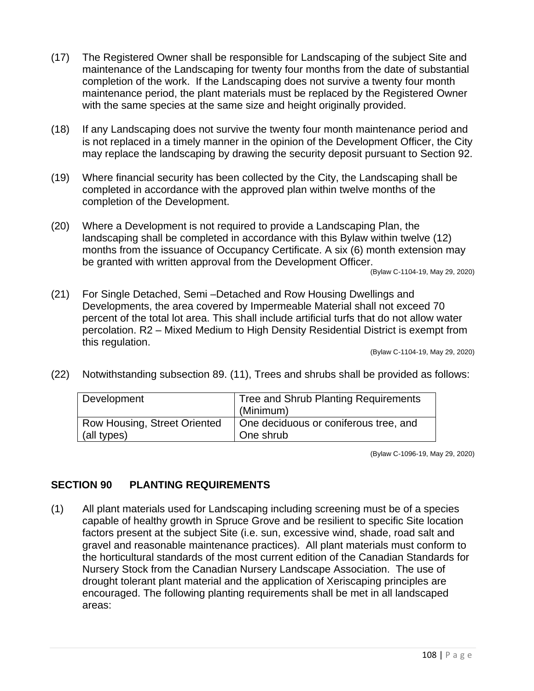- (17) The Registered Owner shall be responsible for Landscaping of the subject Site and maintenance of the Landscaping for twenty four months from the date of substantial completion of the work. If the Landscaping does not survive a twenty four month maintenance period, the plant materials must be replaced by the Registered Owner with the same species at the same size and height originally provided.
- (18) If any Landscaping does not survive the twenty four month maintenance period and is not replaced in a timely manner in the opinion of the Development Officer, the City may replace the landscaping by drawing the security deposit pursuant to Section 92.
- (19) Where financial security has been collected by the City, the Landscaping shall be completed in accordance with the approved plan within twelve months of the completion of the Development.
- (20) Where a Development is not required to provide a Landscaping Plan, the landscaping shall be completed in accordance with this Bylaw within twelve (12) months from the issuance of Occupancy Certificate. A six (6) month extension may be granted with written approval from the Development Officer.

(Bylaw C-1104-19, May 29, 2020)

(21) For Single Detached, Semi –Detached and Row Housing Dwellings and Developments, the area covered by Impermeable Material shall not exceed 70 percent of the total lot area. This shall include artificial turfs that do not allow water percolation. R2 – Mixed Medium to High Density Residential District is exempt from this regulation.

(Bylaw C-1104-19, May 29, 2020)

(22) Notwithstanding subsection 89. (11), Trees and shrubs shall be provided as follows:

| Development                  | Tree and Shrub Planting Requirements<br>(Minimum) |
|------------------------------|---------------------------------------------------|
| Row Housing, Street Oriented | One deciduous or coniferous tree, and             |
| (all types)                  | One shrub                                         |

(Bylaw C-1096-19, May 29, 2020)

#### **SECTION 90 PLANTING REQUIREMENTS**

(1) All plant materials used for Landscaping including screening must be of a species capable of healthy growth in Spruce Grove and be resilient to specific Site location factors present at the subject Site (i.e. sun, excessive wind, shade, road salt and gravel and reasonable maintenance practices). All plant materials must conform to the horticultural standards of the most current edition of the Canadian Standards for Nursery Stock from the Canadian Nursery Landscape Association. The use of drought tolerant plant material and the application of Xeriscaping principles are encouraged. The following planting requirements shall be met in all landscaped areas: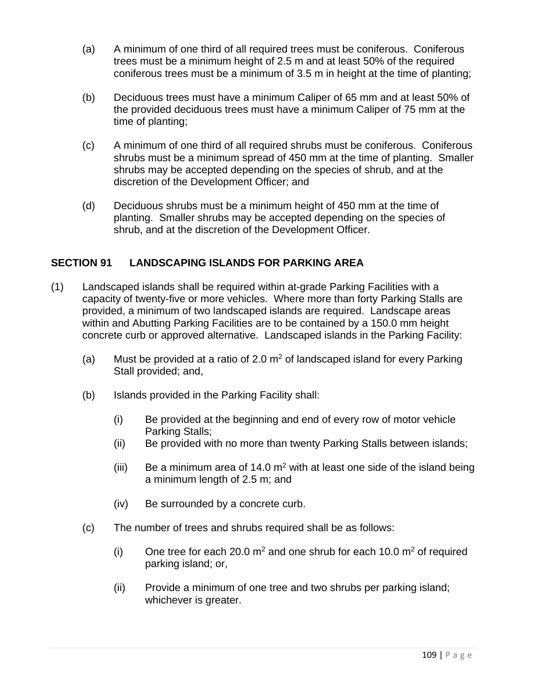- (a) A minimum of one third of all required trees must be coniferous. Coniferous trees must be a minimum height of 2.5 m and at least 50% of the required coniferous trees must be a minimum of 3.5 m in height at the time of planting;
- (b) Deciduous trees must have a minimum Caliper of 65 mm and at least 50% of the provided deciduous trees must have a minimum Caliper of 75 mm at the time of planting;
- (c) A minimum of one third of all required shrubs must be coniferous. Coniferous shrubs must be a minimum spread of 450 mm at the time of planting. Smaller shrubs may be accepted depending on the species of shrub, and at the discretion of the Development Officer; and
- (d) Deciduous shrubs must be a minimum height of 450 mm at the time of planting. Smaller shrubs may be accepted depending on the species of shrub, and at the discretion of the Development Officer.

# **SECTION 91 LANDSCAPING ISLANDS FOR PARKING AREA**

- (1) Landscaped islands shall be required within at-grade Parking Facilities with a capacity of twenty-five or more vehicles. Where more than forty Parking Stalls are provided, a minimum of two landscaped islands are required. Landscape areas within and Abutting Parking Facilities are to be contained by a 150.0 mm height concrete curb or approved alternative. Landscaped islands in the Parking Facility:
	- (a) Must be provided at a ratio of 2.0  $m^2$  of landscaped island for every Parking Stall provided; and,
	- (b) Islands provided in the Parking Facility shall:
		- (i) Be provided at the beginning and end of every row of motor vehicle Parking Stalls;
		- (ii) Be provided with no more than twenty Parking Stalls between islands;
		- (iii) Be a minimum area of 14.0  $m^2$  with at least one side of the island being a minimum length of 2.5 m; and
		- (iv) Be surrounded by a concrete curb.
	- (c) The number of trees and shrubs required shall be as follows:
		- (i) One tree for each 20.0  $m^2$  and one shrub for each 10.0  $m^2$  of required parking island; or,
		- (ii) Provide a minimum of one tree and two shrubs per parking island; whichever is greater.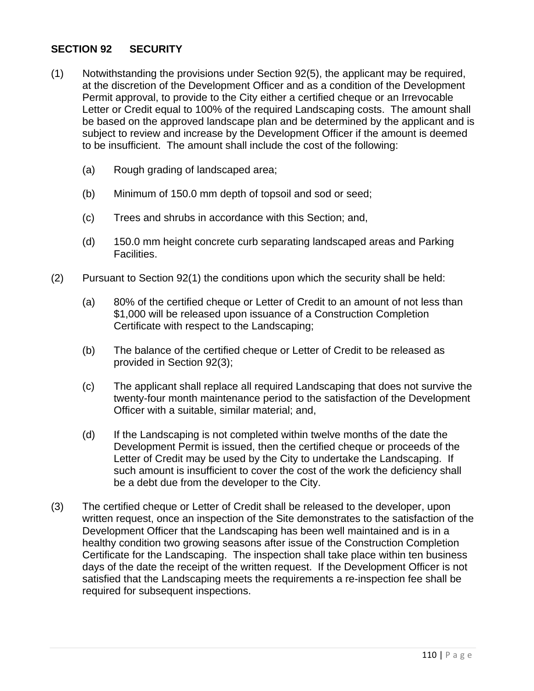## **SECTION 92 SECURITY**

- (1) Notwithstanding the provisions under Section 92(5), the applicant may be required, at the discretion of the Development Officer and as a condition of the Development Permit approval, to provide to the City either a certified cheque or an Irrevocable Letter or Credit equal to 100% of the required Landscaping costs. The amount shall be based on the approved landscape plan and be determined by the applicant and is subject to review and increase by the Development Officer if the amount is deemed to be insufficient. The amount shall include the cost of the following:
	- (a) Rough grading of landscaped area;
	- (b) Minimum of 150.0 mm depth of topsoil and sod or seed;
	- (c) Trees and shrubs in accordance with this Section; and,
	- (d) 150.0 mm height concrete curb separating landscaped areas and Parking Facilities.
- (2) Pursuant to Section 92(1) the conditions upon which the security shall be held:
	- (a) 80% of the certified cheque or Letter of Credit to an amount of not less than \$1,000 will be released upon issuance of a Construction Completion Certificate with respect to the Landscaping;
	- (b) The balance of the certified cheque or Letter of Credit to be released as provided in Section 92(3);
	- (c) The applicant shall replace all required Landscaping that does not survive the twenty-four month maintenance period to the satisfaction of the Development Officer with a suitable, similar material; and,
	- (d) If the Landscaping is not completed within twelve months of the date the Development Permit is issued, then the certified cheque or proceeds of the Letter of Credit may be used by the City to undertake the Landscaping. If such amount is insufficient to cover the cost of the work the deficiency shall be a debt due from the developer to the City.
- (3) The certified cheque or Letter of Credit shall be released to the developer, upon written request, once an inspection of the Site demonstrates to the satisfaction of the Development Officer that the Landscaping has been well maintained and is in a healthy condition two growing seasons after issue of the Construction Completion Certificate for the Landscaping. The inspection shall take place within ten business days of the date the receipt of the written request. If the Development Officer is not satisfied that the Landscaping meets the requirements a re-inspection fee shall be required for subsequent inspections.